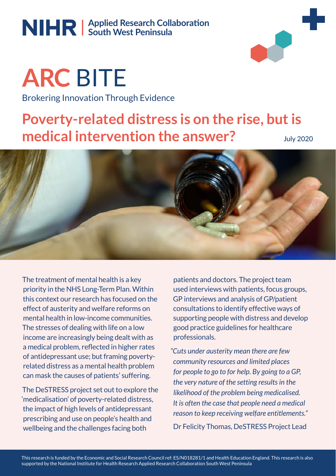## Applied Research Collaboration **South West Peninsula**



**ARC** BITE Brokering Innovation Through Evidence **Applied Research Collaboraon South West Peninsula**

# **Poverty-related distress is on the rise, but is medical intervention the answer?**

July 2020



The treatment of mental health is a key priority in the NHS Long-Term Plan. Within this context our research has focused on the effect of austerity and welfare reforms on mental health in low-income communities. The stresses of dealing with life on a low income are increasingly being dealt with as a medical problem, reflected in higher rates of antidepressant use; but framing povertyrelated distress as a mental health problem can mask the causes of patients' suffering.

The DeSTRESS project set out to explore the 'medicalisation' of poverty-related distress, the impact of high levels of antidepressant prescribing and use on people's health and wellbeing and the challenges facing both

patients and doctors. The project team used interviews with patients, focus groups, GP interviews and analysis of GP/patient consultations to identify effective ways of supporting people with distress and develop good practice guidelines for healthcare professionals.

*"Cuts under austerity mean there are few community resources and limited places for people to go to for help. By going to a GP, the very nature of the setting results in the likelihood of the problem being medicalised. It is often the case that people need a medical reason to keep receiving welfare entitlements."* Dr Felicity Thomas, DeSTRESS Project Lead